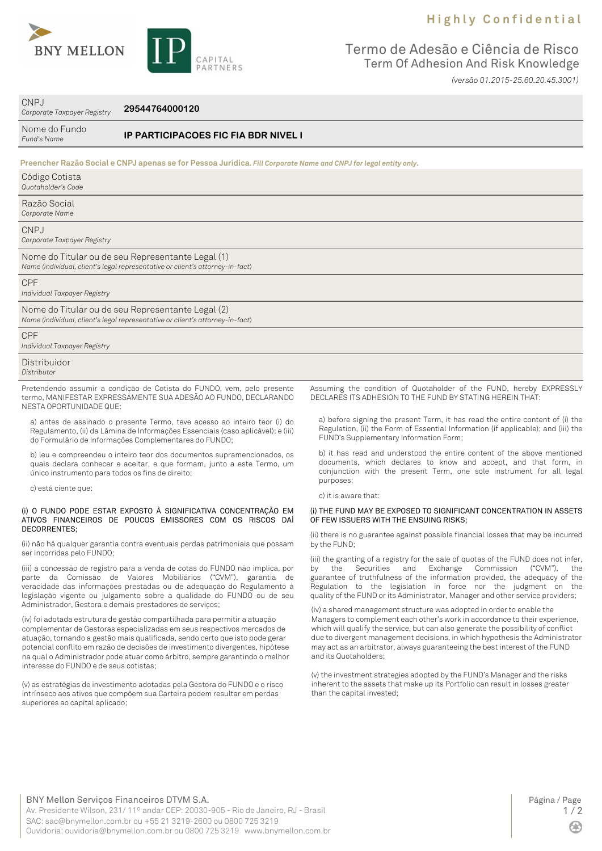## **H i g h l y C o n f i d e n t i a l**



CNPJ



Termo de Adesão e Ciência de Risco Term Of Adhesion And Risk Knowledge *(versão 01.2015-25.60.20.45.3001)*

| Corporate Taxpayer Registry                                                                                                | 29544764000120                                                                                                                                                                                                                                                                                                                                                                                                               |                                                                                                                                                                                                                                 |
|----------------------------------------------------------------------------------------------------------------------------|------------------------------------------------------------------------------------------------------------------------------------------------------------------------------------------------------------------------------------------------------------------------------------------------------------------------------------------------------------------------------------------------------------------------------|---------------------------------------------------------------------------------------------------------------------------------------------------------------------------------------------------------------------------------|
| Nome do Fundo<br>Fund's Name                                                                                               | <b>IP PARTICIPACOES FIC FIA BDR NIVEL I</b>                                                                                                                                                                                                                                                                                                                                                                                  |                                                                                                                                                                                                                                 |
|                                                                                                                            | Preencher Razão Social e CNPJ apenas se for Pessoa Jurídica. Fill Corporate Name and CNPJ for legal entity only.                                                                                                                                                                                                                                                                                                             |                                                                                                                                                                                                                                 |
| Código Cotista<br>Quotaholder's Code                                                                                       |                                                                                                                                                                                                                                                                                                                                                                                                                              |                                                                                                                                                                                                                                 |
| Razão Social<br>Corporate Name                                                                                             |                                                                                                                                                                                                                                                                                                                                                                                                                              |                                                                                                                                                                                                                                 |
| <b>CNPJ</b><br>Corporate Taxpayer Registry                                                                                 |                                                                                                                                                                                                                                                                                                                                                                                                                              |                                                                                                                                                                                                                                 |
|                                                                                                                            | Nome do Titular ou de seu Representante Legal (1)<br>Name (individual, client's legal representative or client's attorney-in-fact)                                                                                                                                                                                                                                                                                           |                                                                                                                                                                                                                                 |
| <b>CPF</b><br>Individual Taxpayer Registry                                                                                 |                                                                                                                                                                                                                                                                                                                                                                                                                              |                                                                                                                                                                                                                                 |
|                                                                                                                            | Nome do Titular ou de seu Representante Legal (2)<br>Name (individual, client's legal representative or client's attorney-in-fact)                                                                                                                                                                                                                                                                                           |                                                                                                                                                                                                                                 |
| <b>CPF</b><br>Individual Taxpayer Registry                                                                                 |                                                                                                                                                                                                                                                                                                                                                                                                                              |                                                                                                                                                                                                                                 |
| Distribuidor<br>Distributor                                                                                                |                                                                                                                                                                                                                                                                                                                                                                                                                              |                                                                                                                                                                                                                                 |
| NESTA OPORTUNIDADE QUE:                                                                                                    | Pretendendo assumir a condição de Cotista do FUNDO, vem, pelo presente<br>termo, MANIFESTAR EXPRESSAMENTE SUA ADESÃO AO FUNDO, DECLARANDO                                                                                                                                                                                                                                                                                    | Assuming the condition of Quotaholder of the FUND, hereby EXPRESSLY<br>DECLARES ITS ADHESION TO THE FUND BY STATING HEREIN THAT:                                                                                                |
|                                                                                                                            | a) antes de assinado o presente Termo, teve acesso ao inteiro teor (i) do<br>Regulamento, (ii) da Lâmina de Informações Essenciais (caso aplicável); e (iii)<br>do Formulário de Informações Complementares do FUNDO;                                                                                                                                                                                                        | a) before signing the present Term, it has read the entire content of (i) the<br>Regulation, (ii) the Form of Essential Information (if applicable); and (iii) the<br>FUND's Supplementary Information Form;                    |
| único instrumento para todos os fins de direito;                                                                           | b) leu e compreendeu o inteiro teor dos documentos supramencionados, os<br>quais declara conhecer e aceitar, e que formam, junto a este Termo, um                                                                                                                                                                                                                                                                            | b) it has read and understood the entire content of the above mentioned<br>documents, which declares to know and accept, and that form, in<br>conjunction with the present Term, one sole instrument for all legal<br>purposes; |
| c) está ciente que:                                                                                                        |                                                                                                                                                                                                                                                                                                                                                                                                                              | c) it is aware that:                                                                                                                                                                                                            |
| (i) O FUNDO PODE ESTAR EXPOSTO À SIGNIFICATIVA CONCENTRAÇÃO EM<br>ATIVOS FINANCEIROS DE POUCOS EMISSORES COM OS RISCOS DAÍ |                                                                                                                                                                                                                                                                                                                                                                                                                              | (i) THE FUND MAY BE EXPOSED TO SIGNIFICANT CONCENTRATION IN ASSETS<br>OF FEW ISSUERS WITH THE ENSUING RISKS;                                                                                                                    |
| <b>DECORRENTES:</b>                                                                                                        | (ii) não há qualquer garantia contra eventuais perdas patrimoniais que possam                                                                                                                                                                                                                                                                                                                                                | (ii) there is no guarantee against possible financial losses that may be incurred<br>by the FUND;                                                                                                                               |
| ser incorridas pelo FUNDO;                                                                                                 | $\mathbf{r} = \mathbf{r} + \mathbf{r} + \mathbf{r} + \mathbf{r} + \mathbf{r} + \mathbf{r} + \mathbf{r} + \mathbf{r} + \mathbf{r} + \mathbf{r} + \mathbf{r} + \mathbf{r} + \mathbf{r} + \mathbf{r} + \mathbf{r} + \mathbf{r} + \mathbf{r} + \mathbf{r} + \mathbf{r} + \mathbf{r} + \mathbf{r} + \mathbf{r} + \mathbf{r} + \mathbf{r} + \mathbf{r} + \mathbf{r} + \mathbf{r} + \mathbf{r} + \mathbf{r} + \mathbf{r} + \mathbf$ | (iii) the granting of a registry for the sale of quotas of the FUND does not infer,<br>the contract of the contract of the contract of the contract of the contract of the contract of the contract of                          |

(iii) a concessão de registro para a venda de cotas do FUNDO não implica, por parte da Comissão de Valores Mobiliários ("CVM"), garantia de veracidade das informações prestadas ou de adequação do Regulamento à legislação vigente ou julgamento sobre a qualidade do FUNDO ou de seu Administrador, Gestora e demais prestadores de serviços;

(iv) foi adotada estrutura de gestão compartilhada para permitir a atuação complementar de Gestoras especializadas em seus respectivos mercados de atuação, tornando a gestão mais qualificada, sendo certo que isto pode gerar potencial conflito em razão de decisões de investimento divergentes, hipótese na qual o Administrador pode atuar como árbitro, sempre garantindo o melhor interesse do FUNDO e de seus cotistas;

(v) as estratégias de investimento adotadas pela Gestora do FUNDO e o risco intrínseco aos ativos que compõem sua Carteira podem resultar em perdas superiores ao capital aplicado;

by the Securities and Exchange Commission ("CVM"), the guarantee of truthfulness of the information provided, the adequacy of the Regulation to the legislation in force nor the judgment on the

quality of the FUND or its Administrator, Manager and other service providers;

(iv) a shared management structure was adopted in order to enable the Managers to complement each other's work in accordance to their experience, which will qualify the service, but can also generate the possibility of conflict due to divergent management decisions, in which hypothesis the Administrator may act as an arbitrator, always guaranteeing the best interest of the FUND and its Quotaholders;

(v) the investment strategies adopted by the FUND's Manager and the risks inherent to the assets that make up its Portfolio can result in losses greater than the capital invested;